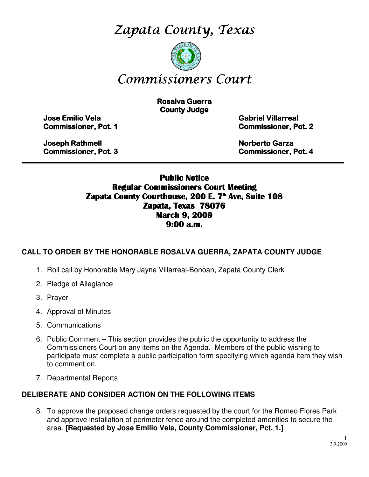Zapata County, Texas



# Commissioners Court

**Rosalva Guerra County Judge** 

Jose Emilio Vela Emilio Vela Vela Gabriel Villarreal Villarreal Villarreal

Commissioner, Pct. 1 1 Commissioner, Pct. 2 2

Joseph Rathmell Rathmell Norberto Garza Garza Garza

Commissioner, Pct. 3 3 Commissioner, Pct. 4 4

# Public Notice Regular Commissioners Court Meeting Zapata County Courthouse, 200 E. 7<sup>th</sup> Ave, Suite 108 Zapata, Texas 78076 March 9, 2009 9:00 a.m.

\_\_\_\_\_\_\_\_\_\_\_\_\_\_\_\_\_\_\_\_\_\_\_\_\_\_\_\_\_\_\_\_\_\_\_\_\_\_\_\_\_\_\_\_\_\_\_\_\_\_\_\_\_\_\_\_\_\_\_\_\_\_\_\_\_\_\_\_\_\_\_\_\_\_\_\_\_\_\_\_\_\_\_\_\_\_\_\_\_

# **CALL TO ORDER BY THE HONORABLE ROSALVA GUERRA, ZAPATA COUNTY JUDGE**

- 1. Roll call by Honorable Mary Jayne Villarreal-Bonoan, Zapata County Clerk
- 2. Pledge of Allegiance
- 3. Prayer
- 4. Approval of Minutes
- 5. Communications
- 6. Public Comment This section provides the public the opportunity to address the Commissioners Court on any items on the Agenda. Members of the public wishing to participate must complete a public participation form specifying which agenda item they wish to comment on.
- 7. Departmental Reports

#### **DELIBERATE AND CONSIDER ACTION ON THE FOLLOWING ITEMS**

8. To approve the proposed change orders requested by the court for the Romeo Flores Park and approve installation of perimeter fence around the completed amenities to secure the area. **[Requested by Jose Emilio Vela, County Commissioner, Pct. 1.]**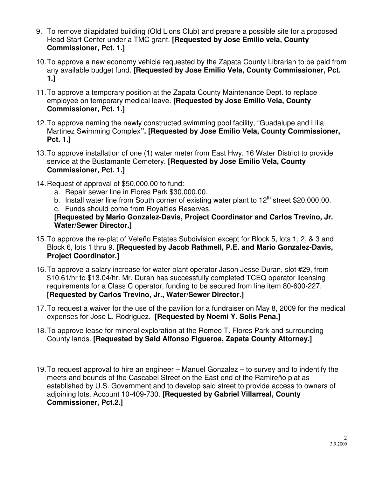- 9. To remove dilapidated building (Old Lions Club) and prepare a possible site for a proposed Head Start Center under a TMC grant. **[Requested by Jose Emilio vela, County Commissioner, Pct. 1.]**
- 10. To approve a new economy vehicle requested by the Zapata County Librarian to be paid from any available budget fund. **[Requested by Jose Emilio Vela, County Commissioner, Pct. 1.]**
- 11. To approve a temporary position at the Zapata County Maintenance Dept. to replace employee on temporary medical leave. **[Requested by Jose Emilio Vela, County Commissioner, Pct. 1.]**
- 12. To approve naming the newly constructed swimming pool facility, "Guadalupe and Lilia Martinez Swimming Complex**". [Requested by Jose Emilio Vela, County Commissioner, Pct. 1.]**
- 13. To approve installation of one (1) water meter from East Hwy. 16 Water District to provide service at the Bustamante Cemetery. **[Requested by Jose Emilio Vela, County Commissioner, Pct. 1.]**
- 14. Request of approval of \$50,000.00 to fund:
	- a. Repair sewer line in Flores Park \$30,000.00.
	- b. Install water line from South corner of existing water plant to  $12<sup>th</sup>$  street \$20,000.00. c. Funds should come from Royalties Reserves.

**[Requested by Mario Gonzalez-Davis, Project Coordinator and Carlos Trevino, Jr. Water/Sewer Director.]** 

- 15. To approve the re-plat of Veleño Estates Subdivision except for Block 5, lots 1, 2, & 3 and Block 6, lots 1 thru 9. **[Requested by Jacob Rathmell, P.E. and Mario Gonzalez-Davis, Project Coordinator.]**
- 16. To approve a salary increase for water plant operator Jason Jesse Duran, slot #29, from \$10.61/hr to \$13.04/hr. Mr. Duran has successfully completed TCEQ operator licensing requirements for a Class C operator, funding to be secured from line item 80-600-227. **[Requested by Carlos Trevino, Jr., Water/Sewer Director.]**
- 17. To request a waiver for the use of the pavilion for a fundraiser on May 8, 2009 for the medical expenses for Jose L. Rodriguez. **[Requested by Noemi Y. Solis Pena.]**
- 18. To approve lease for mineral exploration at the Romeo T. Flores Park and surrounding County lands. **[Requested by Said Alfonso Figueroa, Zapata County Attorney.]**
- 19. To request approval to hire an engineer Manuel Gonzalez to survey and to indentify the meets and bounds of the Cascabel Street on the East end of the Ramireño plat as established by U.S. Government and to develop said street to provide access to owners of adjoining lots. Account 10-409-730. **[Requested by Gabriel Villarreal, County Commissioner, Pct.2.]**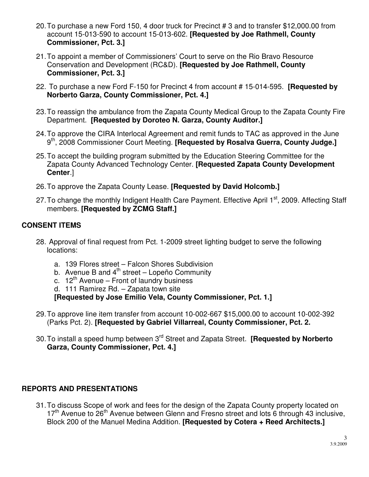- 20. To purchase a new Ford 150, 4 door truck for Precinct # 3 and to transfer \$12,000.00 from account 15-013-590 to account 15-013-602. **[Requested by Joe Rathmell, County Commissioner, Pct. 3.]**
- 21. To appoint a member of Commissioners' Court to serve on the Rio Bravo Resource Conservation and Development (RC&D). **[Requested by Joe Rathmell, County Commissioner, Pct. 3.]**
- 22. To purchase a new Ford F-150 for Precinct 4 from account # 15-014-595. **[Requested by Norberto Garza, County Commissioner, Pct. 4.]**
- 23. To reassign the ambulance from the Zapata County Medical Group to the Zapata County Fire Department. **[Requested by Doroteo N. Garza, County Auditor.]**
- 24. To approve the CIRA Interlocal Agreement and remit funds to TAC as approved in the June 9<sup>th</sup>, 2008 Commissioner Court Meeting. **[Requested by Rosalva Guerra, County Judge.]**
- 25. To accept the building program submitted by the Education Steering Committee for the Zapata County Advanced Technology Center. **[Requested Zapata County Development Center**.]
- 26. To approve the Zapata County Lease. **[Requested by David Holcomb.]**
- 27. To change the monthly Indigent Health Care Payment. Effective April 1<sup>st</sup>, 2009. Affecting Staff members. **[Requested by ZCMG Staff.]**

# **CONSENT ITEMS**

- 28. Approval of final request from Pct. 1-2009 street lighting budget to serve the following locations:
	- a. 139 Flores street Falcon Shores Subdivision
	- b. Avenue B and  $4<sup>th</sup>$  street Lopeño Community
	- c.  $12^{th}$  Avenue Front of laundry business
	- d. 111 Ramirez Rd. Zapata town site

**[Requested by Jose Emilio Vela, County Commissioner, Pct. 1.]** 

- 29. To approve line item transfer from account 10-002-667 \$15,000.00 to account 10-002-392 (Parks Pct. 2). **[Requested by Gabriel Villarreal, County Commissioner, Pct. 2.**
- 30. To install a speed hump between 3rd Street and Zapata Street. **[Requested by Norberto Garza, County Commissioner, Pct. 4.]**

# **REPORTS AND PRESENTATIONS**

31. To discuss Scope of work and fees for the design of the Zapata County property located on  $17<sup>th</sup>$  Avenue to 26<sup>th</sup> Avenue between Glenn and Fresno street and lots 6 through 43 inclusive, Block 200 of the Manuel Medina Addition. **[Requested by Cotera + Reed Architects.]**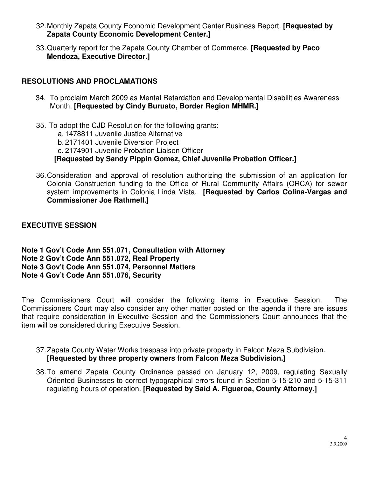- 32. Monthly Zapata County Economic Development Center Business Report. **[Requested by Zapata County Economic Development Center.]**
- 33. Quarterly report for the Zapata County Chamber of Commerce. **[Requested by Paco Mendoza, Executive Director.]**

#### **RESOLUTIONS AND PROCLAMATIONS**

- 34. To proclaim March 2009 as Mental Retardation and Developmental Disabilities Awareness Month. **[Requested by Cindy Buruato, Border Region MHMR.]**
- 35. To adopt the CJD Resolution for the following grants:
	- a. 1478811 Juvenile Justice Alternative
	- b. 2171401 Juvenile Diversion Project

c. 2174901 Juvenile Probation Liaison Officer

**[Requested by Sandy Pippin Gomez, Chief Juvenile Probation Officer.]** 

36. Consideration and approval of resolution authorizing the submission of an application for Colonia Construction funding to the Office of Rural Community Affairs (ORCA) for sewer system improvements in Colonia Linda Vista. **[Requested by Carlos Colina-Vargas and Commissioner Joe Rathmell.]** 

**EXECUTIVE SESSION** 

**Note 1 Gov't Code Ann 551.071, Consultation with Attorney Note 2 Gov't Code Ann 551.072, Real Property Note 3 Gov't Code Ann 551.074, Personnel Matters Note 4 Gov't Code Ann 551.076, Security** 

The Commissioners Court will consider the following items in Executive Session. The Commissioners Court may also consider any other matter posted on the agenda if there are issues that require consideration in Executive Session and the Commissioners Court announces that the item will be considered during Executive Session.

- 37. Zapata County Water Works trespass into private property in Falcon Meza Subdivision. **[Requested by three property owners from Falcon Meza Subdivision.]**
- 38. To amend Zapata County Ordinance passed on January 12, 2009, regulating Sexually Oriented Businesses to correct typographical errors found in Section 5-15-210 and 5-15-311 regulating hours of operation. **[Requested by Sa**ί**d A. Figueroa, County Attorney.]**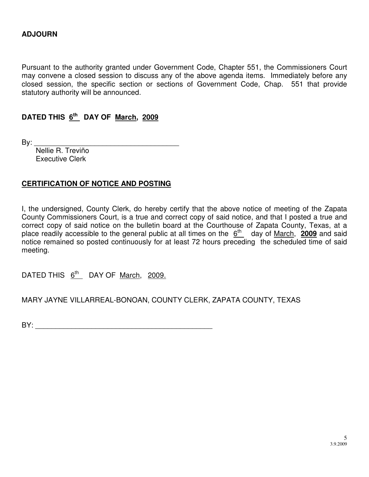Pursuant to the authority granted under Government Code, Chapter 551, the Commissioners Court may convene a closed session to discuss any of the above agenda items. Immediately before any closed session, the specific section or sections of Government Code, Chap. 551 that provide statutory authority will be announced.

# **DATED THIS 6th DAY OF March, 2009**

By: \_\_\_\_\_\_\_\_\_\_\_\_\_\_\_\_\_\_\_\_\_\_\_\_\_\_\_\_\_\_\_\_\_\_\_\_

 Nellie R. Treviño Executive Clerk

#### **CERTIFICATION OF NOTICE AND POSTING**

I, the undersigned, County Clerk, do hereby certify that the above notice of meeting of the Zapata County Commissioners Court, is a true and correct copy of said notice, and that I posted a true and correct copy of said notice on the bulletin board at the Courthouse of Zapata County, Texas, at a place readily accessible to the general public at all times on the 6<sup>th</sup> day of March, 2009 and said notice remained so posted continuously for at least 72 hours preceding the scheduled time of said meeting.

DATED THIS  $6^{th}$  DAY OF March, 2009.

MARY JAYNE VILLARREAL-BONOAN, COUNTY CLERK, ZAPATA COUNTY, TEXAS

 $BY:$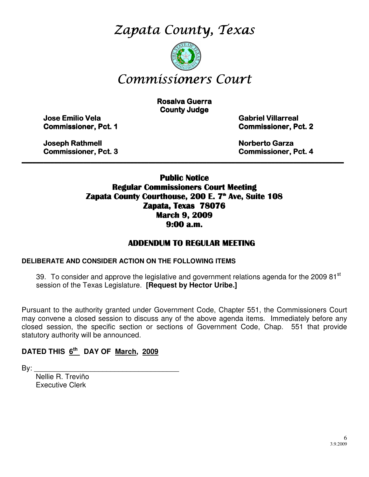Zapata County, Texas



# Commissioners Court

**Rosalva Guerra County Judge** 

Jose Emilio Vela Emilio Vela Vela Gabriel Villarreal Villarreal Villarreal

**Commissioner, Pct. 1 Commissioner, Pct. 2** 

Joseph Rathmell **Northell** Rathmell Rathmell Rathmell Rathmell Rathmell Rathmell Rathmell Rathmell Rathmell Rathmell Rathmell Rathmell Rathmell Rathmell Rathmell Rathmell Rathmell Rathmell Rathmell Rathmell Rathmell Rathme

Commissioner, Pct. 3 ner, 3 and 3 Commissioner, Pct. 4 and 3 Commissioner, Pct. 4

### Public Notice Regular Commissioners Court Meeting Zapata County Courthouse, 200 E. 7<sup>th</sup> Ave, Suite 108 Zapata, Texas 78076 March 9, 2009 9:00 a.m.

\_\_\_\_\_\_\_\_\_\_\_\_\_\_\_\_\_\_\_\_\_\_\_\_\_\_\_\_\_\_\_\_\_\_\_\_\_\_\_\_\_\_\_\_\_\_\_\_\_\_\_\_\_\_\_\_\_\_\_\_\_\_\_\_\_\_\_\_\_\_\_\_\_\_\_\_\_\_\_\_\_\_\_\_\_\_\_\_\_

# ADDENDUM TO REGULAR MEETING

#### **DELIBERATE AND CONSIDER ACTION ON THE FOLLOWING ITEMS**

39. To consider and approve the legislative and government relations agenda for the 2009 81<sup>st</sup> session of the Texas Legislature. **[Request by Hector Uribe.]**

Pursuant to the authority granted under Government Code, Chapter 551, the Commissioners Court may convene a closed session to discuss any of the above agenda items. Immediately before any closed session, the specific section or sections of Government Code, Chap. 551 that provide statutory authority will be announced.

# **DATED THIS 6th DAY OF March, 2009**

By: \_\_\_\_\_\_\_\_\_\_\_\_\_\_\_\_\_\_\_\_\_\_\_\_\_\_\_\_\_\_\_\_\_\_\_\_

 Nellie R. Treviño Executive Clerk